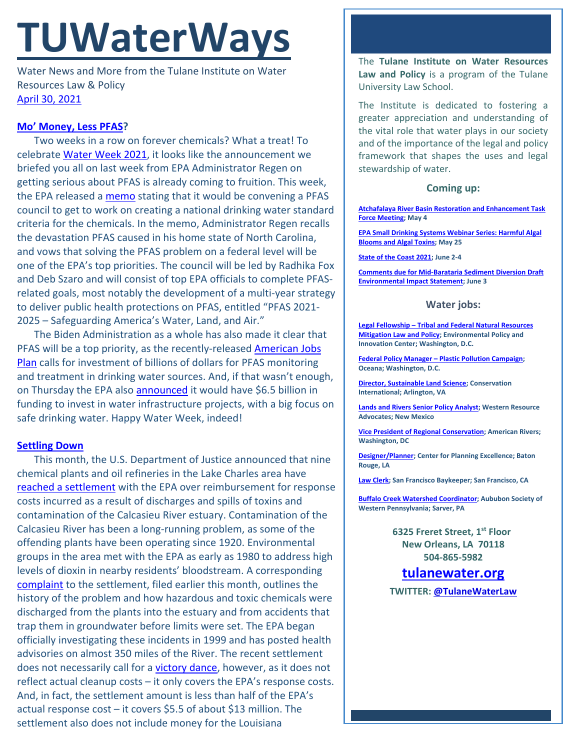# **TUWaterWays**

Water News and More from the Tulane Institute on Water Resources Law & Policy [April 30, 2021](https://thisdayinwaterhistory.wordpress.com/)

### **[Mo' Money, Less PFAS?](https://www.youtube.com/watch?v=gUhRKVIjJtw)**

Two weeks in a row on forever chemicals? What a treat! To celebrat[e Water Week 2021,](https://www.waterweek.us/) it looks like the announcement we briefed you all on last week from EPA Administrator Regen on getting serious about PFAS is already coming to fruition. This week, the EPA released a [memo](https://www.epa.gov/sites/production/files/2021-04/documents/per-and_polyfluoroalkyl_substances.memo_.signed.pdf) stating that it would be convening a PFAS council to get to work on creating a national drinking water standard criteria for the chemicals. In the memo, Administrator Regen recalls the devastation PFAS caused in his home state of North Carolina, and vows that solving the PFAS problem on a federal level will be one of the EPA's top priorities. The council will be led by Radhika Fox and Deb Szaro and will consist of top EPA officials to complete PFASrelated goals, most notably the development of a multi-year strategy to deliver public health protections on PFAS, entitled "PFAS 2021- 2025 – Safeguarding America's Water, Land, and Air."

The Biden Administration as a whole has also made it clear that PFAS will be a top priority, as the recently-released **American Jobs** [Plan](https://www.whitehouse.gov/american-jobs-plan/) calls for investment of billions of dollars for PFAS monitoring and treatment in drinking water sources. And, if that wasn't enough, on Thursday the EPA also [announced](https://www.epa.gov/newsreleases/epa-announces-65-billion-new-funding-water-infrastructure-projects) it would have \$6.5 billion in funding to invest in water infrastructure projects, with a big focus on safe drinking water. Happy Water Week, indeed!

#### **[Settling Down](https://www.youtube.com/watch?v=BsYE078RQCI)**

This month, the U.S. Department of Justice announced that nine chemical plants and oil refineries in the Lake Charles area have [reached a settlement](https://www.nola.com/news/environment/article_6272451c-a14a-11eb-bf01-130206b64851.html) with the EPA over reimbursement for response costs incurred as a result of discharges and spills of toxins and contamination of the Calcasieu River estuary. Contamination of the Calcasieu River has been a long-running problem, as some of the offending plants have been operating since 1920. Environmental groups in the area met with the EPA as early as 1980 to address high levels of dioxin in nearby residents' bloodstream. A corresponding [complaint](https://www.justice.gov/enrd/consent-decree/file/1387391/download) to the settlement, filed earlier this month, outlines the history of the problem and how hazardous and toxic chemicals were discharged from the plants into the estuary and from accidents that trap them in groundwater before limits were set. The EPA began officially investigating these incidents in 1999 and has posted health advisories on almost 350 miles of the River. The recent settlement does not necessarily call for a [victory dance,](https://youtu.be/8DFuun9F38c?t=5) however, as it does not reflect actual cleanup costs – it only covers the EPA's response costs. And, in fact, the settlement amount is less than half of the EPA's actual response cost – it covers \$5.5 of about \$13 million. The settlement also does not include money for the Louisiana

The **Tulane Institute on Water Resources Law and Policy** is a program of the Tulane University Law School.

The Institute is dedicated to fostering a greater appreciation and understanding of the vital role that water plays in our society and of the importance of the legal and policy framework that shapes the uses and legal stewardship of water.

#### **Coming up:**

**[Atchafalaya River Basin Restoration and Enhancement Task](https://coastal.la.gov/calendar/)  [Force Meeting;](https://coastal.la.gov/calendar/) May 4**

**[EPA Small Drinking Systems Webinar Series: Harmful Algal](https://www.epa.gov/water-research/small-drinking-water-systems-webinar-series)  [Blooms and Algal Toxins;](https://www.epa.gov/water-research/small-drinking-water-systems-webinar-series) May 25**

**[State of the Coast 2021;](https://www.stateofthecoast.org/) June 2-4**

**[Comments due for Mid-Barataria Sediment Diversion Draft](https://parkplanning.nps.gov/document.cfm?parkID=534&projectID=100083&documentID=110454)  [Environmental Impact Statement;](https://parkplanning.nps.gov/document.cfm?parkID=534&projectID=100083&documentID=110454) June 3**

#### **Water jobs:**

**Legal Fellowship – [Tribal and Federal Natural Resources](http://policyinnovation.org/wp-content/uploads/Tribal-Mitigation-Policy-Fellow-Position-Description-1.pdf)  [Mitigation Law and Policy;](http://policyinnovation.org/wp-content/uploads/Tribal-Mitigation-Policy-Fellow-Position-Description-1.pdf) Environmental Policy and Innovation Center; Washington, D.C.**

**Federal Policy Manager – [Plastic Pollution Campaign;](https://usa.oceana.org/about-us/employment-opportunities/federal-policy-manager) Oceana; Washington, D.C.**

**[Director, Sustainable Land Science;](https://phh.tbe.taleo.net/phh04/ats/careers/v2/viewRequisition?org=CONSERVATION&cws=39&rid=1439) Conservation International; Arlington, VA**

**[Lands and Rivers Senior Policy Analyst;](https://westernresourceadvocates.org/careers/lands-rivers-sr-policy-analyst/) Western Resource Advocates; New Mexico**

**[Vice President of Regional Conservation;](https://americanrivers.bamboohr.com/jobs/view.php?id=74) American Rivers; Washington, DC**

**[Designer/Planner;](https://www.cpex.org/jobs) Center for Planning Excellence; Baton Rouge, LA**

**[Law](https://baykeeper.org/about-baykeeper/jobs-and-internships#seniorattorney) Clerk; San Francisco Baykeeper; San Francisco, CA**

**[Buffalo Creek Watershed Coordinator;](https://www.indeed.com/viewjob?cmp=Audubon-Society-of-Western-Pennsylvania&t=Buffalo%20Creek%20Watershed%20Coordinator&jk=7ac3f00e53ac4a64&q=%22watershed%22&vjs=3) Aububon Society of Western Pennsylvania; Sarver, PA**

> **6325 Freret Street, 1st Floor New Orleans, LA 70118 504-865-5982**

## **tulanewater.org**

**TWITTER: [@TulaneWaterLaw](http://www.twitter.com/TulaneWaterLaw)**